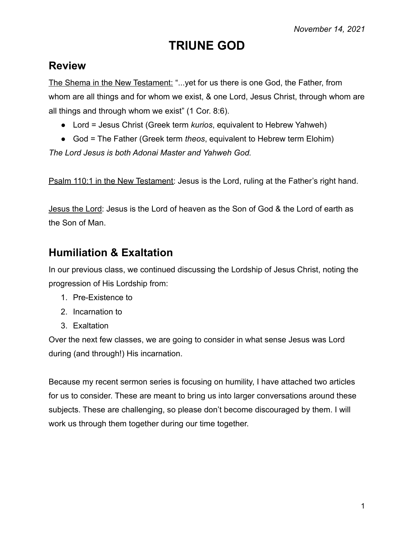# **TRIUNE GOD**

## **Review**

The Shema in the New Testament: "...yet for us there is one God, the Father, from whom are all things and for whom we exist, & one Lord, Jesus Christ, through whom are all things and through whom we exist" (1 Cor. 8:6).

- Lord = Jesus Christ (Greek term *kurios*, equivalent to Hebrew Yahweh)
- God = The Father (Greek term *theos*, equivalent to Hebrew term Elohim)

*The Lord Jesus is both Adonai Master and Yahweh God.*

Psalm 110:1 in the New Testament: Jesus is the Lord, ruling at the Father's right hand.

Jesus the Lord: Jesus is the Lord of heaven as the Son of God & the Lord of earth as the Son of Man.

## **Humiliation & Exaltation**

In our previous class, we continued discussing the Lordship of Jesus Christ, noting the progression of His Lordship from:

- 1. Pre-Existence to
- 2. Incarnation to
- 3. Exaltation

Over the next few classes, we are going to consider in what sense Jesus was Lord during (and through!) His incarnation.

Because my recent sermon series is focusing on humility, I have attached two articles for us to consider. These are meant to bring us into larger conversations around these subjects. These are challenging, so please don't become discouraged by them. I will work us through them together during our time together.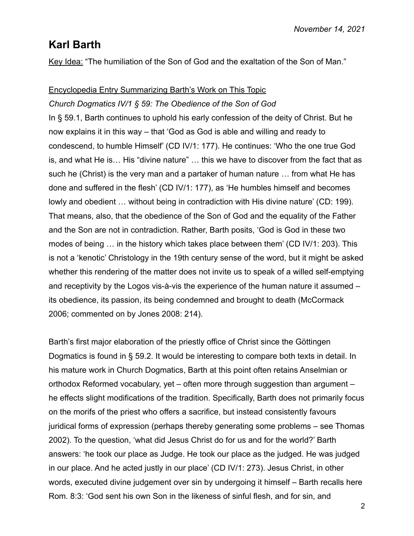## **Karl Barth**

Key Idea: "The humiliation of the Son of God and the exaltation of the Son of Man."

## Encyclopedia Entry Summarizing Barth's Work on This Topic

## *Church Dogmatics IV/1 § 59: The Obedience of the Son of God*

In § 59.1, Barth continues to uphold his early confession of the deity of Christ. But he now explains it in this way – that 'God as God is able and willing and ready to condescend, to humble Himself' (CD IV/1: 177). He continues: 'Who the one true God is, and what He is… His "divine nature" … this we have to discover from the fact that as such he (Christ) is the very man and a partaker of human nature … from what He has done and suffered in the flesh' (CD IV/1: 177), as 'He humbles himself and becomes lowly and obedient … without being in contradiction with His divine nature' (CD: 199). That means, also, that the obedience of the Son of God and the equality of the Father and the Son are not in contradiction. Rather, Barth posits, 'God is God in these two modes of being … in the history which takes place between them' (CD IV/1: 203). This is not a 'kenotic' Christology in the 19th century sense of the word, but it might be asked whether this rendering of the matter does not invite us to speak of a willed self-emptying and receptivity by the Logos vis-à-vis the experience of the human nature it assumed – its obedience, its passion, its being condemned and brought to death (McCormack 2006; commented on by Jones 2008: 214).

Barth's first major elaboration of the priestly office of Christ since the Göttingen Dogmatics is found in § 59.2. It would be interesting to compare both texts in detail. In his mature work in Church Dogmatics, Barth at this point often retains Anselmian or orthodox Reformed vocabulary, yet – often more through suggestion than argument – he effects slight modifications of the tradition. Specifically, Barth does not primarily focus on the morifs of the priest who offers a sacrifice, but instead consistently favours juridical forms of expression (perhaps thereby generating some problems – see Thomas 2002). To the question, 'what did Jesus Christ do for us and for the world?' Barth answers: 'he took our place as Judge. He took our place as the judged. He was judged in our place. And he acted justly in our place' (CD IV/1: 273). Jesus Christ, in other words, executed divine judgement over sin by undergoing it himself – Barth recalls here Rom. 8:3: 'God sent his own Son in the likeness of sinful flesh, and for sin, and

2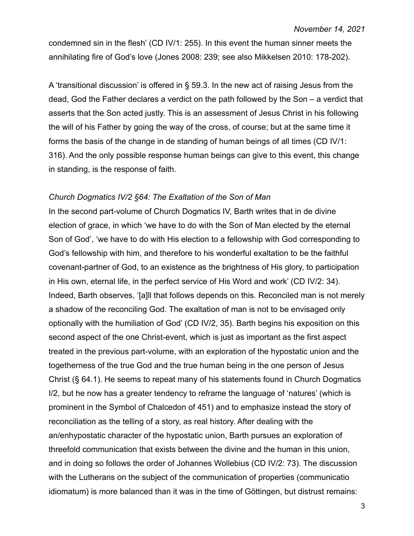condemned sin in the flesh' (CD IV/1: 255). In this event the human sinner meets the annihilating fire of God's love (Jones 2008: 239; see also Mikkelsen 2010: 178-202).

A 'transitional discussion' is offered in § 59.3. In the new act of raising Jesus from the dead, God the Father declares a verdict on the path followed by the Son – a verdict that asserts that the Son acted justly. This is an assessment of Jesus Christ in his following the will of his Father by going the way of the cross, of course; but at the same time it forms the basis of the change in de standing of human beings of all times (CD IV/1: 316). And the only possible response human beings can give to this event, this change in standing, is the response of faith.

#### *Church Dogmatics IV/2 §64: The Exaltation of the Son of Man*

In the second part-volume of Church Dogmatics IV, Barth writes that in de divine election of grace, in which 'we have to do with the Son of Man elected by the eternal Son of God', 'we have to do with His election to a fellowship with God corresponding to God's fellowship with him, and therefore to his wonderful exaltation to be the faithful covenant-partner of God, to an existence as the brightness of His glory, to participation in His own, eternal life, in the perfect service of His Word and work' (CD IV/2: 34). Indeed, Barth observes, '[a]ll that follows depends on this. Reconciled man is not merely a shadow of the reconciling God. The exaltation of man is not to be envisaged only optionally with the humiliation of God' (CD IV/2, 35). Barth begins his exposition on this second aspect of the one Christ-event, which is just as important as the first aspect treated in the previous part-volume, with an exploration of the hypostatic union and the togetherness of the true God and the true human being in the one person of Jesus Christ (§ 64.1). He seems to repeat many of his statements found in Church Dogmatics I/2, but he now has a greater tendency to reframe the language of 'natures' (which is prominent in the Symbol of Chalcedon of 451) and to emphasize instead the story of reconciliation as the telling of a story, as real history. After dealing with the an/enhypostatic character of the hypostatic union, Barth pursues an exploration of threefold communication that exists between the divine and the human in this union, and in doing so follows the order of Johannes Wollebius (CD IV/2: 73). The discussion with the Lutherans on the subject of the communication of properties (communicatio idiomatum) is more balanced than it was in the time of Göttingen, but distrust remains: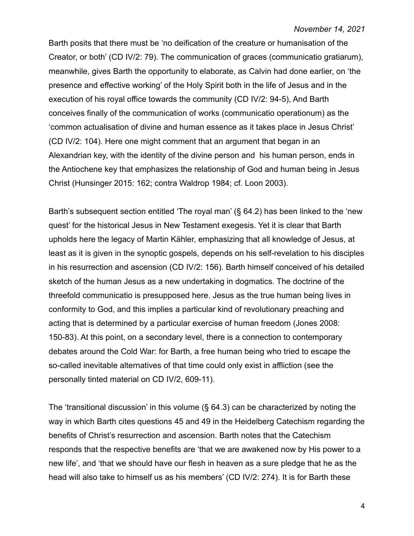Barth posits that there must be 'no deification of the creature or humanisation of the Creator, or both' (CD IV/2: 79). The communication of graces (communicatio gratiarum), meanwhile, gives Barth the opportunity to elaborate, as Calvin had done earlier, on 'the presence and effective working' of the Holy Spirit both in the life of Jesus and in the execution of his royal office towards the community (CD IV/2: 94-5), And Barth conceives finally of the communication of works (communicatio operationum) as the 'common actualisation of divine and human essence as it takes place in Jesus Christ' (CD IV/2: 104). Here one might comment that an argument that began in an Alexandrian key, with the identity of the divine person and his human person, ends in the Antiochene key that emphasizes the relationship of God and human being in Jesus Christ (Hunsinger 2015: 162; contra Waldrop 1984; cf. Loon 2003).

Barth's subsequent section entitled 'The royal man' (§ 64.2) has been linked to the 'new quest' for the historical Jesus in New Testament exegesis. Yet it is clear that Barth upholds here the legacy of Martin Kähler, emphasizing that all knowledge of Jesus, at least as it is given in the synoptic gospels, depends on his self-revelation to his disciples in his resurrection and ascension (CD IV/2: 156). Barth himself conceived of his detailed sketch of the human Jesus as a new undertaking in dogmatics. The doctrine of the threefold communicatio is presupposed here. Jesus as the true human being lives in conformity to God, and this implies a particular kind of revolutionary preaching and acting that is determined by a particular exercise of human freedom (Jones 2008: 150-83). At this point, on a secondary level, there is a connection to contemporary debates around the Cold War: for Barth, a free human being who tried to escape the so-called inevitable alternatives of that time could only exist in affliction (see the personally tinted material on CD IV/2, 609-11).

The 'transitional discussion' in this volume (§ 64.3) can be characterized by noting the way in which Barth cites questions 45 and 49 in the Heidelberg Catechism regarding the benefits of Christ's resurrection and ascension. Barth notes that the Catechism responds that the respective benefits are 'that we are awakened now by His power to a new life', and 'that we should have our flesh in heaven as a sure pledge that he as the head will also take to himself us as his members' (CD IV/2: 274). It is for Barth these

4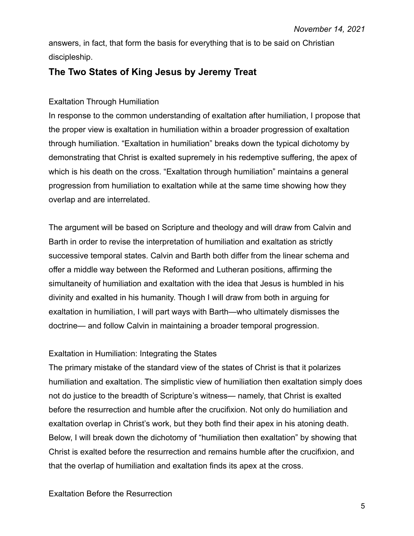answers, in fact, that form the basis for everything that is to be said on Christian discipleship.

## **The Two States of King Jesus by Jeremy Treat**

### Exaltation Through Humiliation

In response to the common understanding of exaltation after humiliation, I propose that the proper view is exaltation in humiliation within a broader progression of exaltation through humiliation. "Exaltation in humiliation" breaks down the typical dichotomy by demonstrating that Christ is exalted supremely in his redemptive suffering, the apex of which is his death on the cross. "Exaltation through humiliation" maintains a general progression from humiliation to exaltation while at the same time showing how they overlap and are interrelated.

The argument will be based on Scripture and theology and will draw from Calvin and Barth in order to revise the interpretation of humiliation and exaltation as strictly successive temporal states. Calvin and Barth both differ from the linear schema and offer a middle way between the Reformed and Lutheran positions, affirming the simultaneity of humiliation and exaltation with the idea that Jesus is humbled in his divinity and exalted in his humanity. Though I will draw from both in arguing for exaltation in humiliation, I will part ways with Barth—who ultimately dismisses the doctrine— and follow Calvin in maintaining a broader temporal progression.

### Exaltation in Humiliation: Integrating the States

The primary mistake of the standard view of the states of Christ is that it polarizes humiliation and exaltation. The simplistic view of humiliation then exaltation simply does not do justice to the breadth of Scripture's witness— namely, that Christ is exalted before the resurrection and humble after the crucifixion. Not only do humiliation and exaltation overlap in Christ's work, but they both find their apex in his atoning death. Below, I will break down the dichotomy of "humiliation then exaltation" by showing that Christ is exalted before the resurrection and remains humble after the crucifixion, and that the overlap of humiliation and exaltation finds its apex at the cross.

#### Exaltation Before the Resurrection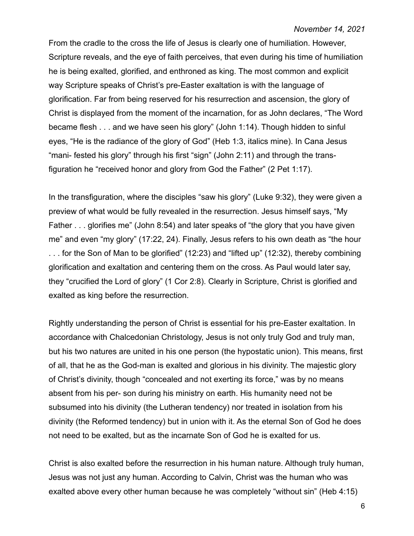From the cradle to the cross the life of Jesus is clearly one of humiliation. However, Scripture reveals, and the eye of faith perceives, that even during his time of humiliation he is being exalted, glorified, and enthroned as king. The most common and explicit way Scripture speaks of Christ's pre-Easter exaltation is with the language of glorification. Far from being reserved for his resurrection and ascension, the glory of Christ is displayed from the moment of the incarnation, for as John declares, "The Word became flesh . . . and we have seen his glory" (John 1:14). Though hidden to sinful eyes, "He is the radiance of the glory of God" (Heb 1:3, italics mine). In Cana Jesus "mani- fested his glory" through his first "sign" (John 2:11) and through the transfiguration he "received honor and glory from God the Father" (2 Pet 1:17).

In the transfiguration, where the disciples "saw his glory" (Luke 9:32), they were given a preview of what would be fully revealed in the resurrection. Jesus himself says, "My Father . . . glorifies me" (John 8:54) and later speaks of "the glory that you have given me" and even "my glory" (17:22, 24). Finally, Jesus refers to his own death as "the hour . . . for the Son of Man to be glorified" (12:23) and "lifted up" (12:32), thereby combining glorification and exaltation and centering them on the cross. As Paul would later say, they "crucified the Lord of glory" (1 Cor 2:8). Clearly in Scripture, Christ is glorified and exalted as king before the resurrection.

Rightly understanding the person of Christ is essential for his pre-Easter exaltation. In accordance with Chalcedonian Christology, Jesus is not only truly God and truly man, but his two natures are united in his one person (the hypostatic union). This means, first of all, that he as the God-man is exalted and glorious in his divinity. The majestic glory of Christ's divinity, though "concealed and not exerting its force," was by no means absent from his per- son during his ministry on earth. His humanity need not be subsumed into his divinity (the Lutheran tendency) nor treated in isolation from his divinity (the Reformed tendency) but in union with it. As the eternal Son of God he does not need to be exalted, but as the incarnate Son of God he is exalted for us.

Christ is also exalted before the resurrection in his human nature. Although truly human, Jesus was not just any human. According to Calvin, Christ was the human who was exalted above every other human because he was completely "without sin" (Heb 4:15)